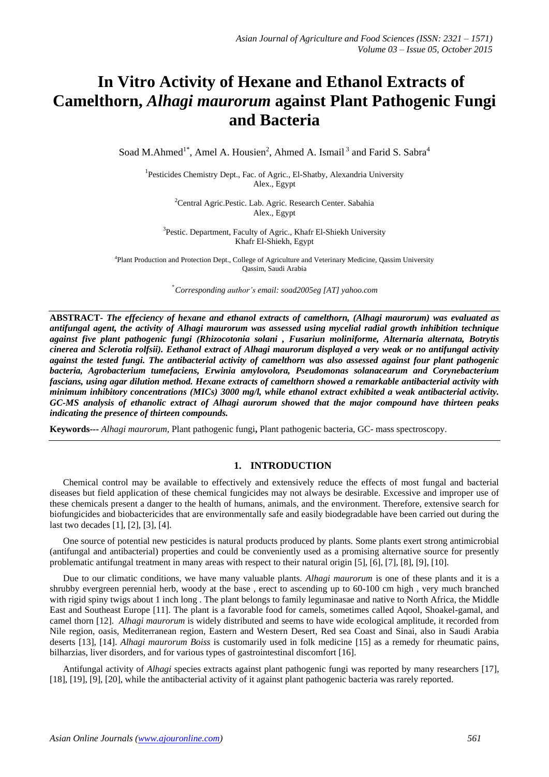# **In Vitro Activity of Hexane and Ethanol Extracts of Camelthorn,** *Alhagi maurorum* **against Plant Pathogenic Fungi and Bacteria**

Soad M.Ahmed<sup>1\*</sup>, Amel A. Housien<sup>2</sup>, Ahmed A. Ismail<sup>3</sup> and Farid S. Sabra<sup>4</sup>

<sup>1</sup>Pesticides Chemistry Dept., Fac. of Agric., El-Shatby, Alexandria University Alex., Egypt

> <sup>2</sup>Central Agric.Pestic. Lab. Agric. Research Center. Sabahia Alex., Egypt

<sup>3</sup>Pestic. Department, Faculty of Agric., Khafr El-Shiekh University Khafr El-Shiekh, Egypt

4 Plant Production and Protection Dept., College of Agriculture and Veterinary Medicine, Qassim University Qassim, Saudi Arabia

\**Corresponding author's email: soad2005eg [AT] yahoo.com*

**ABSTRACT-** *The effeciency of hexane and ethanol extracts of camelthorn, (Alhagi maurorum) was evaluated as antifungal agent, the activity of Alhagi maurorum was assessed using mycelial radial growth inhibition technique against five plant pathogenic fungi (Rhizocotonia solani , Fusariun moliniforme, Alternaria alternata, Botrytis cinerea and Sclerotia rolfsii). Eethanol extract of Alhagi maurorum displayed a very weak or no antifungal activity against the tested fungi. The antibacterial activity of camelthorn was also assessed against four plant pathogenic bacteria, Agrobacterium tumefaciens, Erwinia amylovolora, Pseudomonas solanacearum and Corynebacterium fascians, using agar dilution method. Hexane extracts of camelthorn showed a remarkable antibacterial activity with minimum inhibitory concentrations (MICs) 3000 mg/l, while ethanol extract exhibited a weak antibacterial activity. GC-MS analysis of ethanolic extract of Alhagi aurorum showed that the major compound have thirteen peaks indicating the presence of thirteen compounds.*

**Keywords---** *Alhagi maurorum,* Plant pathogenic fungi**,** Plant pathogenic bacteria, GC- mass spectroscopy.

#### **1. INTRODUCTION**

Chemical control may be available to effectively and extensively reduce the effects of most fungal and bacterial diseases but field application of these chemical fungicides may not always be desirable. Excessive and improper use of these chemicals present a danger to the health of humans, animals, and the environment. Therefore, extensive search for biofungicides and biobactericides that are environmentally safe and easily biodegradable have been carried out during the last two decades [1], [2], [3], [4].

One source of potential new pesticides is natural products produced by plants. Some plants exert strong antimicrobial (antifungal and antibacterial) properties and could be conveniently used as a promising alternative source for presently problematic antifungal treatment in many areas with respect to their natural origin [5], [6], [7], [8], [9], [10].

Due to our climatic conditions, we have many valuable plants. *Alhagi maurorum* is one of these plants and it is a shrubby evergreen perennial herb, woody at the base , erect to ascending up to 60-100 cm high , very much branched with rigid spiny twigs about 1 inch long. The plant belongs to family leguminasae and native to North Africa, the Middle East and Southeast Europe [11]. The plant is a favorable food for camels, sometimes called Aqool, Shoakel-gamal, and camel thorn [12]. *Alhagi maurorum* is widely distributed and seems to have wide ecological amplitude, it recorded from Nile region, oasis, Mediterranean region, Eastern and Western Desert, Red sea Coast and Sinai, also in Saudi Arabia deserts [13], [14]. *Alhagi maurorum Boiss* is customarily used in folk medicine [15] as a remedy for rheumatic pains, bilharzias, liver disorders, and for various types of gastrointestinal discomfort [16].

Antifungal activity of *Alhagi* species extracts against plant pathogenic fungi was reported by many researchers [17], [18], [19], [9], [20], while the antibacterial activity of it against plant pathogenic bacteria was rarely reported.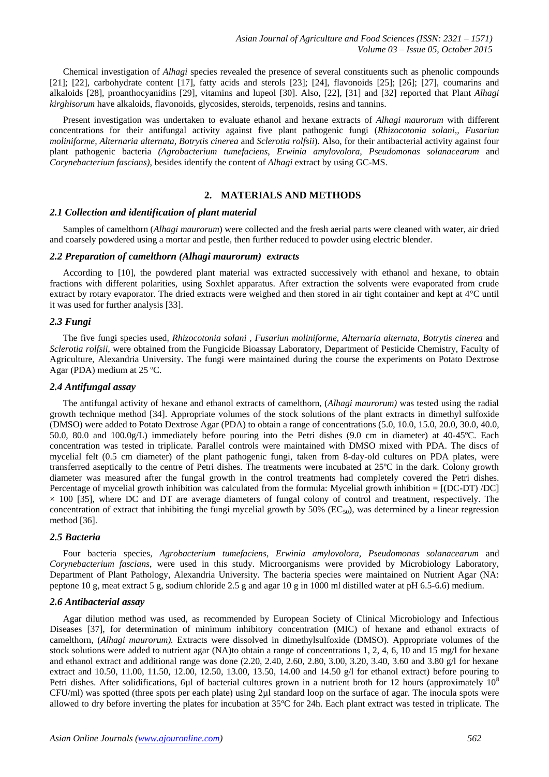Chemical investigation of *Alhagi* species revealed the presence of several constituents such as phenolic compounds [21]; [22], carbohydrate content [17], fatty acids and sterols [23]; [24], flavonoids [25]; [26]; [27], coumarins and alkaloids [28], proanthocyanidins [29], vitamins and lupeol [30]. Also, [22], [31] and [32] reported that Plant *Alhagi kirghisorum* have alkaloids, flavonoids, glycosides, steroids, terpenoids, resins and tannins.

Present investigation was undertaken to evaluate ethanol and hexane extracts of *Alhagi maurorum* with different concentrations for their antifungal activity against five plant pathogenic fungi (*Rhizocotonia solani,, Fusariun moliniforme, Alternaria alternata*, *Botrytis cinerea* and *Sclerotia rolfsii*). Also, for their antibacterial activity against four plant pathogenic bacteria *(Agrobacterium tumefaciens*, *Erwinia amylovolora, Pseudomonas solanacearum* and *Corynebacterium fascians),* besides identify the content of *Alhagi* extract by using GC-MS.

# **2. MATERIALS AND METHODS**

#### *2.1 Collection and identification of plant material*

Samples of camelthorn (*Alhagi maurorum*) were collected and the fresh aerial parts were cleaned with water, air dried and coarsely powdered using a mortar and pestle, then further reduced to powder using electric blender.

#### *2.2 Preparation of camelthorn (Alhagi maurorum) extracts*

According to [10], the powdered plant material was extracted successively with ethanol and hexane, to obtain fractions with different polarities, using Soxhlet apparatus. After extraction the solvents were evaporated from crude extract by rotary evaporator. The dried extracts were weighed and then stored in air tight container and kept at 4°C until it was used for further analysis [33].

#### *2.3 Fungi*

The five fungi species used, *Rhizocotonia solani , Fusariun moliniforme, Alternaria alternata*, *Botrytis cinerea* and *Sclerotia rolfsii*, were obtained from the Fungicide Bioassay Laboratory, Department of Pesticide Chemistry, Faculty of Agriculture, Alexandria University. The fungi were maintained during the course the experiments on Potato Dextrose Agar (PDA) medium at 25 ºC.

#### *2.4 Antifungal assay*

The antifungal activity of hexane and ethanol extracts of camelthorn, (*Alhagi maurorum)* was tested using the radial growth technique method [34]. Appropriate volumes of the stock solutions of the plant extracts in dimethyl sulfoxide (DMSO) were added to Potato Dextrose Agar (PDA) to obtain a range of concentrations (5.0, 10.0, 15.0, 20.0, 30.0, 40.0, 50.0, 80.0 and 100.0g/L) immediately before pouring into the Petri dishes (9.0 cm in diameter) at 40-45ºC. Each concentration was tested in triplicate. Parallel controls were maintained with DMSO mixed with PDA. The discs of mycelial felt (0.5 cm diameter) of the plant pathogenic fungi, taken from 8-day-old cultures on PDA plates, were transferred aseptically to the centre of Petri dishes. The treatments were incubated at 25ºC in the dark. Colony growth diameter was measured after the fungal growth in the control treatments had completely covered the Petri dishes. Percentage of mycelial growth inhibition was calculated from the formula: Mycelial growth inhibition = [(DC-DT) /DC]  $\times$  100 [35], where DC and DT are average diameters of fungal colony of control and treatment, respectively. The concentration of extract that inhibiting the fungi mycelial growth by  $50\%$  (EC<sub>50</sub>), was determined by a linear regression method [36].

### *2.5 Bacteria*

Four bacteria species, *Agrobacterium tumefaciens*, *Erwinia amylovolora, Pseudomonas solanacearum* and *Corynebacterium fascians*, were used in this study. Microorganisms were provided by Microbiology Laboratory, Department of Plant Pathology, Alexandria University. The bacteria species were maintained on Nutrient Agar (NA: peptone 10 g, meat extract 5 g, sodium chloride 2.5 g and agar 10 g in 1000 ml distilled water at pH 6.5-6.6) medium.

### *2.6 Antibacterial assay*

Agar dilution method was used, as recommended by European Society of Clinical Microbiology and Infectious Diseases [37], for determination of minimum inhibitory concentration (MIC) of hexane and ethanol extracts of camelthorn, (*Alhagi maurorum).* Extracts were dissolved in dimethylsulfoxide (DMSO). Appropriate volumes of the stock solutions were added to nutrient agar (NA)to obtain a range of concentrations 1, 2, 4, 6, 10 and 15 mg/l for hexane and ethanol extract and additional range was done (2.20, 2.40, 2.60, 2.80, 3.00, 3.20, 3.40, 3.60 and 3.80 g/l for hexane extract and 10.50, 11.00, 11.50, 12.00, 12.50, 13.00, 13.50, 14.00 and 14.50 g/l for ethanol extract) before pouring to Petri dishes. After solidifications, 6µl of bacterial cultures grown in a nutrient broth for 12 hours (approximately  $10^8$ CFU/ml) was spotted (three spots per each plate) using 2µl standard loop on the surface of agar. The inocula spots were allowed to dry before inverting the plates for incubation at 35ºC for 24h. Each plant extract was tested in triplicate. The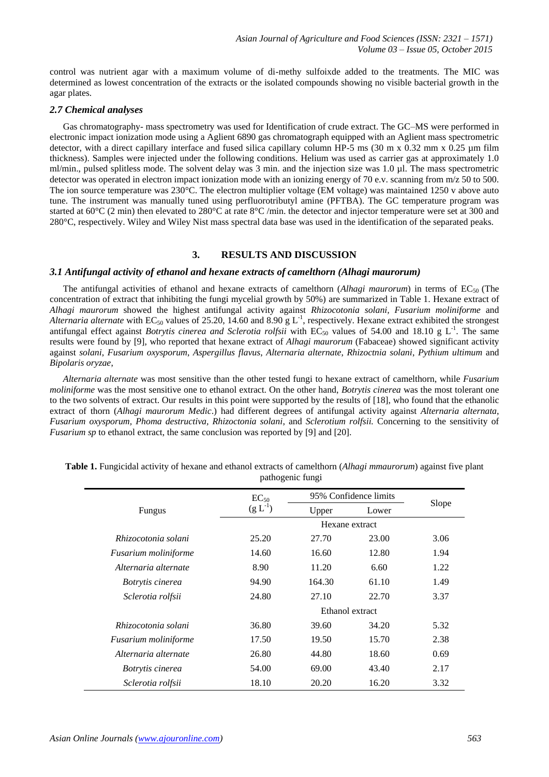control was nutrient agar with a maximum volume of di-methy sulfoixde added to the treatments. The MIC was determined as lowest concentration of the extracts or the isolated compounds showing no visible bacterial growth in the agar plates.

### *2.7 Chemical analyses*

Gas chromatography- mass spectrometry was used for Identification of crude extract. The GC–MS were performed in electronic impact ionization mode using a Aglient 6890 gas chromatograph equipped with an Aglient mass spectrometric detector, with a direct capillary interface and fused silica capillary column HP-5 ms (30 m x 0.32 mm x 0.25 µm film thickness). Samples were injected under the following conditions. Helium was used as carrier gas at approximately 1.0 ml/min., pulsed splitless mode. The solvent delay was 3 min. and the injection size was 1.0 µl. The mass spectrometric detector was operated in electron impact ionization mode with an ionizing energy of 70 e.v. scanning from m/z 50 to 500. The ion source temperature was  $230^{\circ}$ C. The electron multiplier voltage (EM voltage) was maintained 1250 v above auto tune. The instrument was manually tuned using perfluorotributyl amine (PFTBA). The GC temperature program was started at 60°C (2 min) then elevated to 280°C at rate 8°C /min. the detector and injector temperature were set at 300 and 280°C, respectively. Wiley and Wiley Nist mass spectral data base was used in the identification of the separated peaks.

# **3. RESULTS AND DISCUSSION**

### *3.1 Antifungal activity of ethanol and hexane extracts of camelthorn (Alhagi maurorum)*

The antifungal activities of ethanol and hexane extracts of camelthorn (*Alhagi maurorum*) in terms of  $EC_{50}$  (The concentration of extract that inhibiting the fungi mycelial growth by 50%) are summarized in Table 1. Hexane extract of *Alhagi maurorum* showed the highest antifungal activity against *Rhizocotonia solani, Fusarium moliniforme* and Alternaria alternate with  $EC_{50}$  values of 25.20, 14.60 and 8.90 g  $L^{-1}$ , respectively. Hexane extract exhibited the strongest antifungal effect against *Botrytis cinerea and Sclerotia rolfsii* with  $EC_{50}$  values of 54.00 and 18.10 g  $L^{-1}$ . The same results were found by [9], who reported that hexane extract of *Alhagi maurorum* (Fabaceae) showed significant activity against *solani*, *Fusarium oxysporum*, *Aspergillus flavus*, *Alternaria alternate*, *Rhizoctnia solani*, *Pythium ultimum* and *Bipolaris oryzae*,

*Alternaria alternate* was most sensitive than the other tested fungi to hexane extract of camelthorn, while *Fusarium moliniforme* was the most sensitive one to ethanol extract. On the other hand, *Botrytis cinerea* was the most tolerant one to the two solvents of extract. Our results in this point were supported by the results of [18], who found that the ethanolic extract of thorn (*Alhagi maurorum Medic*.) had different degrees of antifungal activity against *Alternaria alternata*, *Fusarium oxysporum, Phoma destructiva, Rhizoctonia solani*, and *Sclerotium rolfsii.* Concerning to the sensitivity of *Fusarium sp* to ethanol extract, the same conclusion was reported by [9] and [20].

|                             | $EC_{50}$      | 95% Confidence limits |       |       |
|-----------------------------|----------------|-----------------------|-------|-------|
| Fungus                      | $(g L^{-1})$   | Upper                 | Lower | Slope |
|                             | Hexane extract |                       |       |       |
| Rhizocotonia solani         | 25.20          | 27.70                 | 23.00 | 3.06  |
| <b>Fusarium moliniforme</b> | 14.60          | 16.60                 | 12.80 | 1.94  |
| Alternaria alternate        | 8.90           | 11.20                 | 6.60  | 1.22  |
| <i>Botrytis cinerea</i>     | 94.90          | 164.30                | 61.10 | 1.49  |
| Sclerotia rolfsii           | 24.80          | 27.10                 | 22.70 | 3.37  |
|                             |                | Ethanol extract       |       |       |
| Rhizocotonia solani         | 36.80          | 39.60                 | 34.20 | 5.32  |
| Fusarium moliniforme        | 17.50          | 19.50                 | 15.70 | 2.38  |
| Alternaria alternate        | 26.80          | 44.80                 | 18.60 | 0.69  |
| <i>Botrytis cinerea</i>     | 54.00          | 69.00                 | 43.40 | 2.17  |
| Sclerotia rolfsii           | 18.10          | 20.20                 | 16.20 | 3.32  |

**Table 1.** Fungicidal activity of hexane and ethanol extracts of camelthorn (*Alhagi mmaurorum*) against five plant pathogenic fungi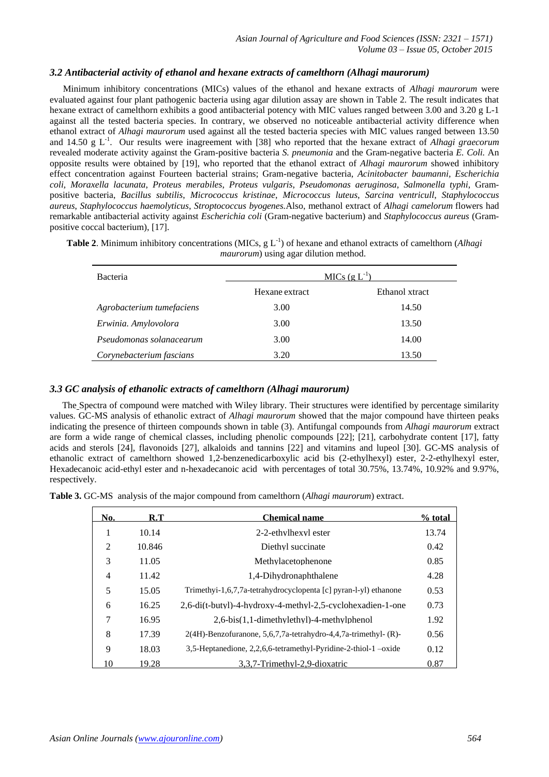# *3.2 Antibacterial activity of ethanol and hexane extracts of camelthorn (Alhagi maurorum)*

Minimum inhibitory concentrations (MICs) values of the ethanol and hexane extracts of *Alhagi maurorum* were evaluated against four plant pathogenic bacteria using agar dilution assay are shown in Table 2. The result indicates that hexane extract of camelthorn exhibits a good antibacterial potency with MIC values ranged between 3.00 and 3.20 g L-1 against all the tested bacteria species. In contrary, we observed no noticeable antibacterial activity difference when ethanol extract of *Alhagi maurorum* used against all the tested bacteria species with MIC values ranged between 13.50 and 14.50 g L<sup>-1</sup>. Our results were inagreement with [38] who reported that the hexane extract of *Alhagi graecorum* revealed moderate activity against the Gram-positive bacteria *S. pneumonia* and the Gram-negative bacteria *E. Coli.* An opposite results were obtained by [19], who reported that the ethanol extract of *Alhagi maurorum* showed inhibitory effect concentration against Fourteen bacterial strains; Gram-negative bacteria, *Acinitobacter baumanni, Escherichia coli, Moraxella lacunata*, *Proteus merabiles*, *Proteus vulgaris*, *Pseudomonas aeruginosa*, *Salmonella typhi*, Grampositive bacteria, *Bacillus subtilis*, *Micrococcus kristinae*, *Micrococcus luteus*, *Sarcina ventricull*, *Staphylococcus aureus*, *Staphylococcus haemolyticus*, *Stroptococcus byogenes.*Also, methanol extract of *Alhagi camelorum* flowers had remarkable antibacterial activity against *Escherichia coli* (Gram-negative bacterium) and *Staphylococcus aureus* (Grampositive coccal bacterium), [17].

**Table 2.** Minimum inhibitory concentrations (MICs,  $g L^{-1}$ ) of hexane and ethanol extracts of camelthorn (*Alhagi maurorum*) using agar dilution method.

| <b>Bacteria</b>           | MICs $(g L^{-1})$ |                |  |  |
|---------------------------|-------------------|----------------|--|--|
|                           | Hexane extract    | Ethanol xtract |  |  |
| Agrobacterium tumefaciens | 3.00              | 14.50          |  |  |
| Erwinia. Amylovolora      | 3.00              | 13.50          |  |  |
| Pseudomonas solanacearum  | 3.00              | 14.00          |  |  |
| Corynebacterium fascians  | 3.20              | 13.50          |  |  |

# *3.3 GC analysis of ethanolic extracts of camelthorn (Alhagi maurorum)*

The Spectra of compound were matched with Wiley library. Their structures were identified by percentage similarity values. GC-MS analysis of ethanolic extract of *Alhagi maurorum* showed that the major compound have thirteen peaks indicating the presence of thirteen compounds shown in table (3). Antifungal compounds from *Alhagi maurorum* extract are form a wide range of chemical classes, including phenolic compounds [22]; [21], carbohydrate content [17], fatty acids and sterols [24], flavonoids [27], alkaloids and tannins [22] and vitamins and lupeol [30]. GC-MS analysis of ethanolic extract of camelthorn showed 1,2-benzenedicarboxylic acid bis (2-ethylhexyl) ester, 2-2-ethylhexyl ester, Hexadecanoic acid-ethyl ester and n-hexadecanoic acid with percentages of total 30.75%, 13.74%, 10.92% and 9.97%, respectively.

|  |  | Table 3. GC-MS analysis of the major compound from camelthorn (Alhagi maurorum) extract. |  |
|--|--|------------------------------------------------------------------------------------------|--|
|  |  |                                                                                          |  |

| No.            | R.T    | <b>Chemical name</b>                                                  | % total |
|----------------|--------|-----------------------------------------------------------------------|---------|
|                | 10.14  | 2-2-ethylhexyl ester                                                  | 13.74   |
| $\mathcal{D}$  | 10.846 | Diethyl succinate                                                     | 0.42    |
| 3              | 11.05  | Methylacetophenone                                                    | 0.85    |
| $\overline{4}$ | 11.42  | 1.4-Dihydronaphthalene                                                | 4.28    |
| 5              | 15.05  | Trimethyi-1,6,7,7a-tetrahydrocyclopenta [c] pyran-l-yl) ethanone      | 0.53    |
| 6              | 16.25  | 2,6-di(t-butyl)-4-hydroxy-4-methyl-2,5-cyclohexadien-1-one            | 0.73    |
| 7              | 16.95  | 2.6-bis(1.1-dimethylethyl)-4-methylphenol                             | 1.92    |
| 8              | 17.39  | $2(4H)$ -Benzofuranone, 5,6,7,7a-tetrahydro-4,4,7a-trimethyl- $(R)$ - | 0.56    |
| 9              | 18.03  | 3,5-Heptanedione, 2,2,6,6-tetramethyl-Pyridine-2-thiol-1 -oxide       | 0.12    |
| 10             | 19.28  | 3.3.7-Trimethyl-2.9-dioxatric                                         | 0.87    |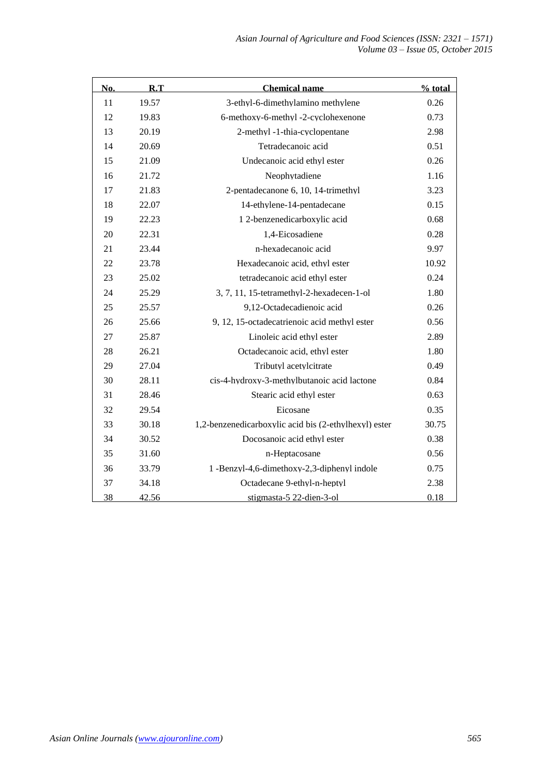| No. | $\mathbf{R}.\mathbf{T}$ | <b>Chemical name</b>                                  | $%$ total |
|-----|-------------------------|-------------------------------------------------------|-----------|
| 11  | 19.57                   | 3-ethyl-6-dimethylamino methylene                     | 0.26      |
| 12  | 19.83                   | 6-methoxy-6-methyl-2-cyclohexenone                    | 0.73      |
| 13  | 20.19                   | 2-methyl -1-thia-cyclopentane                         | 2.98      |
| 14  | 20.69                   | Tetradecanoic acid                                    | 0.51      |
| 15  | 21.09                   | Undecanoic acid ethyl ester                           | 0.26      |
| 16  | 21.72                   | Neophytadiene                                         | 1.16      |
| 17  | 21.83                   | 2-pentadecanone 6, 10, 14-trimethyl                   | 3.23      |
| 18  | 22.07                   | 14-ethylene-14-pentadecane                            | 0.15      |
| 19  | 22.23                   | 12-benzenedicarboxylic acid                           | 0.68      |
| 20  | 22.31                   | 1,4-Eicosadiene                                       | 0.28      |
| 21  | 23.44                   | n-hexadecanoic acid                                   | 9.97      |
| 22  | 23.78                   | Hexadecanoic acid, ethyl ester                        | 10.92     |
| 23  | 25.02                   | tetradecanoic acid ethyl ester                        | 0.24      |
| 24  | 25.29                   | 3, 7, 11, 15-tetramethyl-2-hexadecen-1-ol             | 1.80      |
| 25  | 25.57                   | 9,12-Octadecadienoic acid                             | 0.26      |
| 26  | 25.66                   | 9, 12, 15-octadecatrienoic acid methyl ester          | 0.56      |
| 27  | 25.87                   | Linoleic acid ethyl ester                             | 2.89      |
| 28  | 26.21                   | Octadecanoic acid, ethyl ester                        | 1.80      |
| 29  | 27.04                   | Tributyl acetylcitrate                                | 0.49      |
| 30  | 28.11                   | cis-4-hydroxy-3-methylbutanoic acid lactone           | 0.84      |
| 31  | 28.46                   | Stearic acid ethyl ester                              | 0.63      |
| 32  | 29.54                   | Eicosane                                              | 0.35      |
| 33  | 30.18                   | 1,2-benzenedicarboxylic acid bis (2-ethylhexyl) ester | 30.75     |
| 34  | 30.52                   | Docosanoic acid ethyl ester                           | 0.38      |
| 35  | 31.60                   | n-Heptacosane                                         | 0.56      |
| 36  | 33.79                   | 1 -Benzyl-4,6-dimethoxy-2,3-diphenyl indole           | 0.75      |
| 37  | 34.18                   | Octadecane 9-ethyl-n-heptyl                           | 2.38      |
| 38  | 42.56                   | stigmasta-5 22-dien-3-ol                              | 0.18      |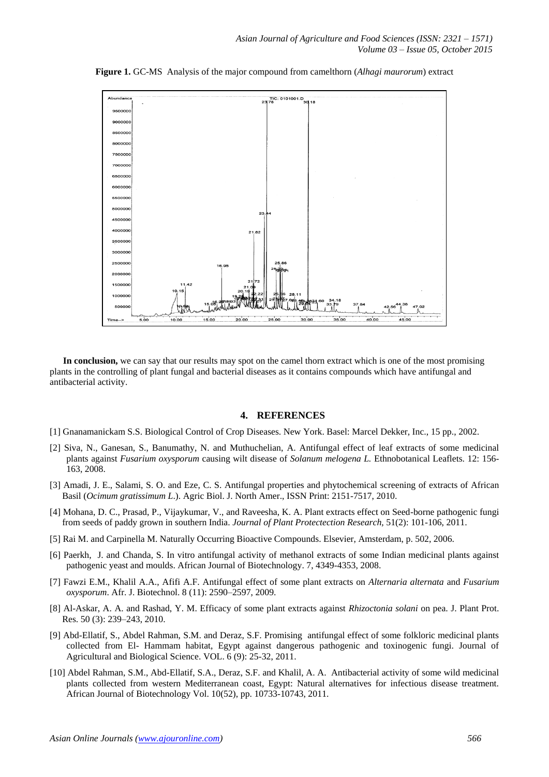



**In conclusion,** we can say that our results may spot on the camel thorn extract which is one of the most promising plants in the controlling of plant fungal and bacterial diseases as it contains compounds which have antifungal and antibacterial activity.

#### **4. REFERENCES**

- [1] Gnanamanickam S.S. Biological Control of Crop Diseases. New York. Basel: Marcel Dekker, Inc., 15 pp., 2002.
- [2] Siva, N., Ganesan, S., Banumathy, N. and Muthuchelian, A. Antifungal effect of leaf extracts of some medicinal plants against *Fusarium oxysporum* causing wilt disease of *Solanum melogena L.* Ethnobotanical Leaflets. 12: 156- 163, 2008.
- [3] Amadi, J. E., Salami, S. O. and Eze, C. S. Antifungal properties and phytochemical screening of extracts of African Basil (*Ocimum gratissimum L*.). Agric Biol. J. North Amer., ISSN Print: 2151-7517, 2010.
- [4] Mohana, D. C., Prasad, P., Vijaykumar, V., and Raveesha, K. A. Plant extracts effect on Seed-borne pathogenic fungi from seeds of paddy grown in southern India. *Journal of Plant Protectection Research,* 51(2): 101-106, 2011.
- [5] Rai M. and Carpinella M. Naturally Occurring Bioactive Compounds. Elsevier, Amsterdam, p. 502, 2006.
- [6] Paerkh, J. and Chanda, S. In vitro antifungal activity of methanol extracts of some Indian medicinal plants against pathogenic yeast and moulds. African Journal of Biotechnology. 7, 4349-4353, 2008.
- [7] Fawzi E.M., Khalil A.A., Afifi A.F. Antifungal effect of some plant extracts on *Alternaria alternata* and *Fusarium oxysporum*. Afr. J. Biotechnol. 8 (11): 2590–2597, 2009.
- [8] Al-Askar, A. A. and Rashad, Y. M. Efficacy of some plant extracts against *Rhizoctonia solani* on pea. J. Plant Prot. Res. 50 (3): 239–243, 2010.
- [9] Abd-Ellatif, S., Abdel Rahman, S.M. and Deraz, S.F. Promising antifungal effect of some folkloric medicinal plants collected from El- Hammam habitat, Egypt against dangerous pathogenic and toxinogenic fungi. Journal of Agricultural and Biological Science. VOL. 6 (9): 25-32, 2011.
- [10] Abdel Rahman, S.M., Abd-Ellatif, S.A., Deraz, S.F. and Khalil, A. A. Antibacterial activity of some wild medicinal plants collected from western Mediterranean coast, Egypt: Natural alternatives for infectious disease treatment. African Journal of Biotechnology Vol. 10(52), pp. 10733-10743, 2011.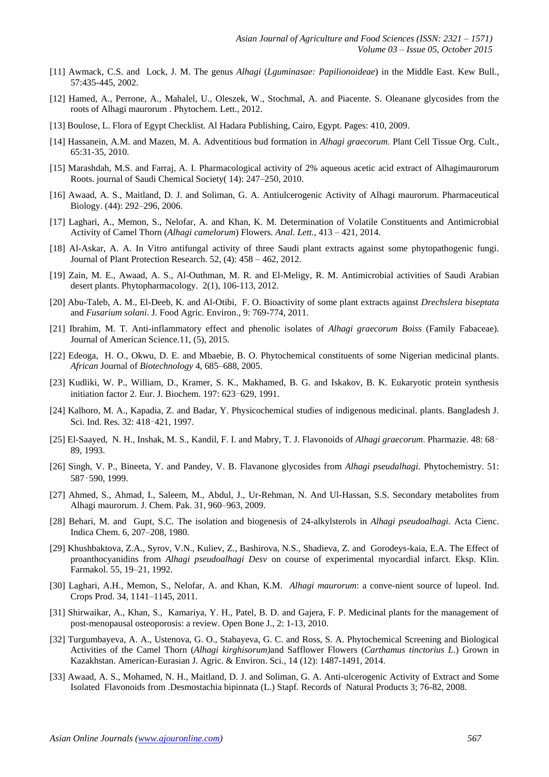- [11] Awmack, C.S. and Lock, J. M. The genus *Alhagi* (*Lguminasae: Papilionoideae*) in the Middle East. Kew Bull., 57:435-445, 2002.
- [12] Hamed, A., Perrone, A., Mahalel, U., Oleszek, W., Stochmal, A. and Piacente. S. Oleanane glycosides from the roots of Alhagi maurorum . Phytochem. Lett., 2012.
- [13] Boulose, L. Flora of Egypt Checklist. Al Hadara Publishing, Cairo, Egypt. Pages: 410, 2009.
- [14] Hassanein, A.M. and Mazen, M. A. Adventitious bud formation in *Alhagi graecorum*. Plant Cell Tissue Org. Cult., 65:31-35, 2010.
- [15] Marashdah, M.S. and Farraj, A. I. Pharmacological activity of 2% aqueous acetic acid extract of Alhagimaurorum Roots. journal of Saudi Chemical Society( 14): 247–250, 2010.
- [16] Awaad, A. S., Maitland, D. J. and Soliman, G. A. Antiulcerogenic Activity of Alhagi maurorum. Pharmaceutical Biology. (44): 292–296, 2006.
- [17] [Laghari,](http://www.tandfonline.com/author/Laghari%2C+A+H) A., [Memon,](http://www.tandfonline.com/author/Memon%2C+S) S., [Nelofar,](http://www.tandfonline.com/author/Nelofar%2C+A) A. and [Khan,](http://www.tandfonline.com/author/Khan%2C+K+M) K. M. Determination of Volatile Constituents and Antimicrobial Activity of Camel Thorn (*Alhagi camelorum*) Flowers. *Anal. Lett.,* 413 – 421, 2014.
- [18] Al-Askar, A. A. In Vitro antifungal activity of three Saudi plant extracts against some phytopathogenic fungi. Journal of Plant Protection Research. 52, (4): 458 – 462, 2012.
- [19] Zain, M. E., Awaad, A. S., Al-Outhman, M. R. and El-Meligy, R. M. Antimicrobial activities of Saudi Arabian desert plants. Phytopharmacology. 2(1), 106-113, 2012.
- [20] Abu-Taleb, A. M., El-Deeb, K. and Al-Otibi, F. O. Bioactivity of some plant extracts against *Drechslera biseptata* and *Fusarium solani*. J. Food Agric. Environ., 9: 769-774, 2011.
- [21] Ibrahim, M. T. Anti-inflammatory effect and phenolic isolates of *Alhagi graecorum Boiss* (Family Fabaceae). Journal of American Science.11, (5), 2015.
- [22] Edeoga, H. O., Okwu, D. E. and Mbaebie, B. O. Phytochemical constituents of some Nigerian medicinal plants. *African* Journal of *Biotechnology* 4, 685–688, 2005.
- [23] Kudliki, W. P., William, D., Kramer, S. K., Makhamed, B. G. and Iskakov, B. K. Eukaryotic protein synthesis initiation factor 2. Eur. J. Biochem. 197: 623–629, 1991.
- [24] Kalhoro, M. A., Kapadia, Z. and Badar, Y. Physicochemical studies of indigenous medicinal. plants. Bangladesh J. Sci. Ind. Res. 32: 418–421, 1997.
- [25] El-Saayed, N. H., Inshak, M. S., Kandil, F. I. and Mabry, T. J. Flavonoids of *Alhagi graecorum*. Pharmazie. 48: 68– 89, 1993.
- [26] Singh, V. P., Bineeta, Y. and Pandey, V. B. Flavanone glycosides from *Alhagi pseudalhagi.* Phytochemistry. 51: 587–590, 1999.
- [27] Ahmed, S., Ahmad, I., Saleem, M., Abdul, J., Ur-Rehman, N. And Ul-Hassan, S.S. Secondary metabolites from Alhagi maurorum. J. Chem. Pak. 31, 960–963, 2009.
- [28] Behari, M. and Gupt, S.C. The isolation and biogenesis of 24-alkylsterols in *Alhagi pseudoalhagi*. Acta Cienc. Indica Chem. 6, 207–208, 1980.
- [29] Khushbaktova, Z.A., Syrov, V.N., Kuliev, Z., Bashirova, N.S., Shadieva, Z. and Gorodeys-kaia, E.A. The Effect of proanthocyanidins from *Alhagi pseudoalhagi Desv* on course of experimental myocardial infarct. Eksp. Klin. Farmakol. 55, 19–21, 1992.
- [30] Laghari, A.H., Memon, S., Nelofar, A. and Khan, K.M. *Alhagi maurorum*: a conve-nient source of lupeol. Ind. Crops Prod. 34, 1141–1145, 2011.
- [31] Shirwaikar, A., Khan, S., Kamariya, Y. H., Patel, B. D. and Gajera, F. P. Medicinal plants for the management of post-menopausal osteoporosis: a review. Open Bone J., 2: 1-13, 2010.
- [32] Turgumbayeva, A. A., Ustenova, G. O., Stabayeva, G. C. and Ross, S. A. Phytochemical Screening and Biological Activities of the Camel Thorn (*Alhagi kirghisorum)*and Safflower Flowers (*Carthamus tinctorius L*.) Grown in Kazakhstan. American-Eurasian J. Agric. & Environ. Sci., 14 (12): 1487-1491, 2014.
- [33] Awaad, A. S., Mohamed, N. H., Maitland, D. J. and Soliman, G. A. Anti-ulcerogenic Activity of Extract and Some Isolated Flavonoids from .Desmostachia bipinnata (L.) Stapf. Records of Natural Products 3; 76-82, 2008.